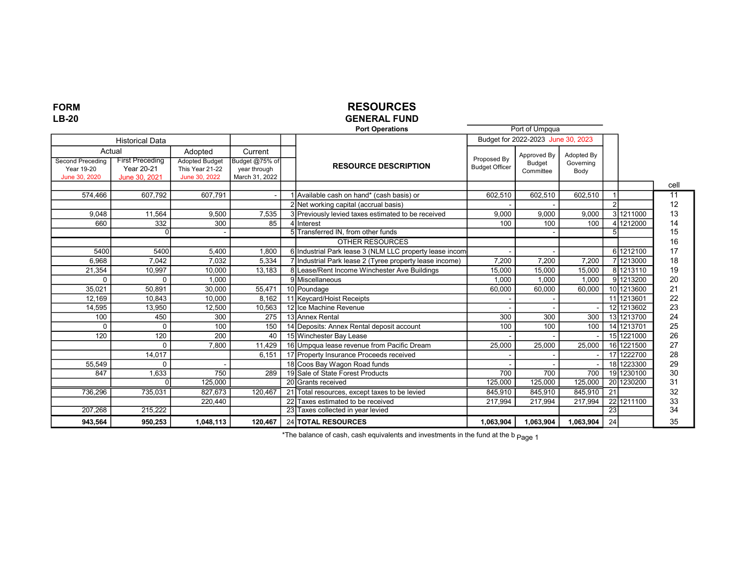### FORM LB-20

# RESOURCES

#### GENERAL FUND Port Operations

|                                                        |                                      |                                                           | <b>Port Operations</b>                           |                                                         | Port of Umpqua        |                                    |                   |               |             |                 |
|--------------------------------------------------------|--------------------------------------|-----------------------------------------------------------|--------------------------------------------------|---------------------------------------------------------|-----------------------|------------------------------------|-------------------|---------------|-------------|-----------------|
|                                                        | <b>Historical Data</b>               |                                                           |                                                  |                                                         |                       | Budget for 2022-2023 June 30, 2023 |                   |               |             |                 |
| Actual                                                 |                                      | Adopted                                                   | Current                                          |                                                         | Proposed By           | Approved By                        | Adopted By        |               |             |                 |
| <b>Second Preceding</b><br>Year 19-20<br>June 30, 2020 | <b>First Preceding</b><br>Year 20-21 | <b>Adopted Budget</b><br>This Year 21-22<br>June 30, 2022 | Budget @75% of<br>year through<br>March 31, 2022 | <b>RESOURCE DESCRIPTION</b>                             | <b>Budget Officer</b> | Budget<br>Committee                | Governing<br>Body |               |             |                 |
|                                                        | June 30, 2021                        |                                                           |                                                  |                                                         |                       |                                    |                   |               |             | cell            |
| 574,466                                                | 607,792                              | 607,791                                                   |                                                  | 1 Available cash on hand* (cash basis) or               | 602,510               | 602,510                            | 602,510           |               |             | $\overline{11}$ |
|                                                        |                                      |                                                           |                                                  | 2 Net working capital (accrual basis)                   |                       |                                    |                   | $\mathcal{D}$ |             | 12              |
| 9,048                                                  | 11,564                               | 9.500                                                     | 7,535                                            | 3 Previously levied taxes estimated to be received      | 9.000                 | 9.000                              | 9.000             |               | 31211000    | 13              |
| 660                                                    | 332                                  | 300                                                       | 85                                               | 4 Interest                                              | 100                   | 100                                | 100               |               | 1212000     | 14              |
|                                                        | ŋ                                    |                                                           |                                                  | 5 Transferred IN, from other funds                      |                       |                                    |                   |               |             | 15              |
|                                                        |                                      |                                                           |                                                  | OTHER RESOURCES                                         |                       |                                    |                   |               |             | 16              |
| 5400                                                   | 5400                                 | 5.400                                                     | 1.800                                            | 6 Industrial Park lease 3 (NLM LLC property lease incom |                       |                                    |                   |               | 6 1212100   | 17              |
| 6,968                                                  | 7,042                                | 7,032                                                     | 5,334                                            | 7 Industrial Park lease 2 (Tyree property lease income) | 7,200                 | 7,200                              | 7.200             |               | 1213000     | 18              |
| 21,354                                                 | 10,997                               | 10,000                                                    | 13,183                                           | 8 Lease/Rent Income Winchester Ave Buildings            | 15,000                | 15,000                             | 15,000            |               | 81213110    | 19              |
| $\Omega$                                               | $\Omega$                             | 1.000                                                     |                                                  | 9 Miscellaneous                                         | 1.000                 | 1.000                              | 1.000             |               | 91213200    | 20              |
| 35.021                                                 | 50.891                               | 30,000                                                    | 55,471                                           | 10 Poundage                                             | 60.000                | 60.000                             | 60.000            |               | 10 1213600  | 21              |
| 12,169                                                 | 10,843                               | 10,000                                                    | 8,162                                            | 11 Keycard/Hoist Receipts                               |                       |                                    |                   |               | 11 1213601  | 22              |
| 14,595                                                 | 13,950                               | 12,500                                                    | 10,563                                           | 12 Ice Machine Revenue                                  |                       |                                    |                   |               | 12 12 13602 | 23              |
| 100                                                    | 450                                  | 300                                                       | 275                                              | 13 Annex Rental                                         | 300                   | 300                                | 300               |               | 131213700   | 24              |
| $\Omega$                                               | $\Omega$                             | 100                                                       | 150                                              | 14 Deposits: Annex Rental deposit account               | 100                   | 100                                | 100               |               | 14 1213701  | 25              |
| 120                                                    | 120                                  | 200                                                       | 40                                               | 15 Winchester Bay Lease                                 |                       |                                    |                   |               | 15 1221000  | 26              |
|                                                        | $\Omega$                             | 7,800                                                     | 11,429                                           | 16 Umpqua lease revenue from Pacific Dream              | 25,000                | 25,000                             | 25,000            |               | 16 1221500  | 27              |
|                                                        | 14,017                               |                                                           | 6.151                                            | 17 Property Insurance Proceeds received                 |                       |                                    |                   |               | 17 1222700  | 28              |
| 55,549                                                 | $\Omega$                             |                                                           |                                                  | 18 Coos Bay Wagon Road funds                            |                       |                                    |                   |               | 18 1223300  | 29              |
| 847                                                    | 1,633                                | 750                                                       | 289                                              | 19 Sale of State Forest Products                        | 700                   | 700                                | 700               |               | 191230100   | 30              |
|                                                        | $\Omega$                             | 125,000                                                   |                                                  | 20 Grants received                                      | 125,000               | 125,000                            | 125,000           |               | 20 1230200  | 31              |
| 736,296                                                | 735,031                              | 827,673                                                   | 120,467                                          | 21 Total resources, except taxes to be levied           | 845,910               | 845,910                            | 845,910           | 21            |             | 32              |
|                                                        |                                      | 220,440                                                   |                                                  | 22 Taxes estimated to be received                       | 217,994               | 217,994                            | 217,994           |               | 22 1211100  | 33              |
| 207,268                                                | 215,222                              |                                                           |                                                  | 23 Taxes collected in year levied                       |                       |                                    |                   | 23            |             | 34              |
| 943,564                                                | 950,253                              | 1,048,113                                                 | 120,467                                          | 24 TOTAL RESOURCES                                      | 1,063,904             | 1,063,904                          | 1,063,904         | 24            |             | 35              |

\*The balance of cash, cash equivalents and investments in the fund at the b <sub>Page 1</sub>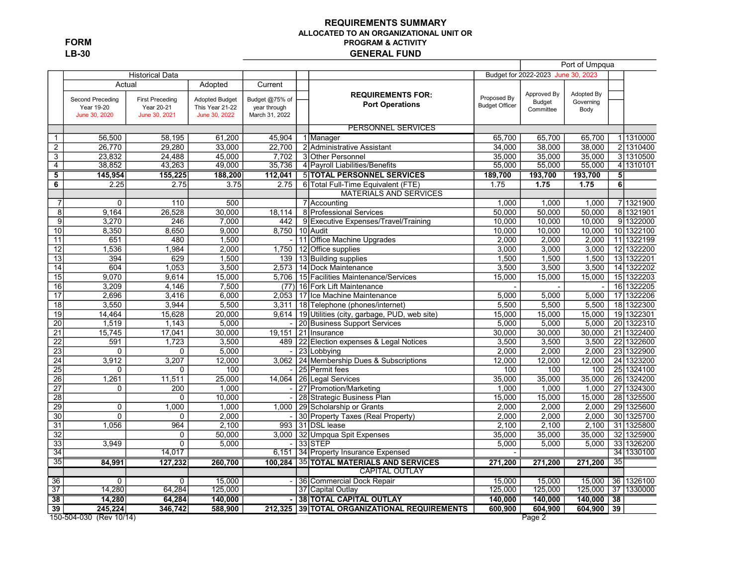FORM LB-30

#### REQUIREMENTS SUMMARY ALLOCATED TO AN ORGANIZATIONAL UNIT OR PROGRAM & ACTIVITY GENERAL FUND

|                         |                             |                             |                                  |                                |                                             |                                      | Port of Umpqua                     |            |                 |            |
|-------------------------|-----------------------------|-----------------------------|----------------------------------|--------------------------------|---------------------------------------------|--------------------------------------|------------------------------------|------------|-----------------|------------|
|                         |                             | <b>Historical Data</b>      |                                  |                                |                                             |                                      | Budget for 2022-2023 June 30, 2023 |            |                 |            |
|                         | Actual                      |                             | Adopted                          | Current                        | <b>REQUIREMENTS FOR:</b>                    |                                      | Approved By                        | Adopted By |                 |            |
|                         | Second Preceding            | <b>First Preceding</b>      | <b>Adopted Budget</b>            | Budget @75% of                 | <b>Port Operations</b>                      | Proposed By<br><b>Budget Officer</b> | <b>Budget</b>                      | Governing  |                 |            |
|                         | Year 19-20<br>June 30, 2020 | Year 20-21<br>June 30, 2021 | This Year 21-22<br>June 30, 2022 | year through<br>March 31, 2022 |                                             |                                      | Committee                          | Body       |                 |            |
|                         |                             |                             |                                  |                                |                                             |                                      |                                    |            |                 |            |
|                         |                             |                             |                                  |                                | <b>PERSONNEL SERVICES</b>                   |                                      |                                    |            |                 |            |
| $\mathbf{1}$            | 56,500                      | 58,195                      | 61,200                           | 45,904                         | 1 Manager                                   | 65.700                               | 65,700                             | 65,700     |                 | 11310000   |
| $\overline{2}$          | 26,770                      | 29,280                      | 33,000                           | 22,700                         | 2 Administrative Assistant                  | 34,000                               | 38,000                             | 38,000     |                 | 2 1310400  |
| $\overline{3}$          | 23,832                      | 24,488                      | 45,000                           | 7,702                          | 3 Other Personnel                           | 35,000                               | 35,000                             | 35,000     |                 | 3 1310500  |
| $\overline{4}$          | 38,852                      | 43,263                      | 49,000                           | 35,736                         | 4 Payroll Liabilities/Benefits              | 55,000                               | 55,000                             | 55,000     |                 | 4 1310101  |
| $\overline{\mathbf{5}}$ | 145,954                     | 155,225                     | 188,200                          | 112.041                        | <b>5 TOTAL PERSONNEL SERVICES</b>           | 189,700                              | 193,700                            | 193,700    | 5               |            |
| 6                       | 2.25                        | 2.75                        | 3.75                             | 2.75                           | 6 Total Full-Time Equivalent (FTE)          | 1.75                                 | 1.75                               | 1.75       | $\overline{6}$  |            |
|                         |                             |                             |                                  |                                | <b>MATERIALS AND SERVICES</b>               |                                      |                                    |            |                 |            |
| $\overline{7}$          | $\mathbf 0$                 | 110                         | 500                              |                                | 7 Accounting                                | 1,000                                | 1,000                              | 1.000      |                 | 7 1321900  |
| $\overline{8}$          | 9,164                       | 26,528                      | 30.000                           | 18,114                         | 8 Professional Services                     | 50,000                               | 50,000                             | 50,000     |                 | 8 1321901  |
| 9                       | 3,270                       | 246                         | 7,000                            | 442                            | 9 Executive Expenses/Travel/Training        | 10,000                               | 10,000                             | 10.000     |                 | 9 1322000  |
| 10                      | 8,350                       | 8,650                       | 9,000                            | 8.750                          | 10 Audit                                    | 10,000                               | 10,000                             | 10.000     |                 | 10 1322100 |
| 11                      | 651                         | 480                         | 1,500                            |                                | 11 Office Machine Upgrades                  | 2,000                                | 2,000                              | 2,000      |                 | 11 1322199 |
| $\overline{12}$         | 1,536                       | 1,984                       | 2,000                            | 1,750                          | 12 Office supplies                          | 3,000                                | 3,000                              | 3,000      |                 | 12 1322200 |
| 13                      | 394                         | 629                         | 1,500                            | 139                            | 13 Building supplies                        | 1,500                                | 1,500                              | 1,500      |                 | 13 1322201 |
| $\overline{14}$         | 604                         | 1,053                       | 3,500                            | 2,573                          | 14 Dock Maintenance                         | 3,500                                | 3,500                              | 3,500      |                 | 14 1322202 |
| $\overline{15}$         | 9,070                       | 9,614                       | 15,000                           | 5,706                          | 15 Facilities Maintenance/Services          | 15,000                               | 15,000                             | 15,000     |                 | 15 1322203 |
| $\overline{16}$         | 3,209                       | 4,146                       | 7,500                            | (77)                           | 16 Fork Lift Maintenance                    |                                      |                                    |            |                 | 16 1322205 |
| 17                      | 2,696                       | 3,416                       | 6,000                            | 2.053                          | 17 Ice Machine Maintenance                  | 5,000                                | 5,000                              | 5,000      |                 | 17 1322206 |
| $\overline{18}$         | 3,550                       | 3,944                       | 5,500                            | 3,311                          | 18 Telephone (phones/internet)              | 5,500                                | 5,500                              | 5,500      |                 | 18 1322300 |
| $\overline{19}$         | 14,464                      | 15,628                      | 20,000                           | 9,614                          | 19 Utilities (city, garbage, PUD, web site) | 15,000                               | 15,000                             | 15,000     |                 | 19 1322301 |
| $\overline{20}$         | 1,519                       | 1,143                       | 5,000                            |                                | 20 Business Support Services                | 5,000                                | 5,000                              | 5,000      |                 | 20 1322310 |
| 21                      | 15,745                      | 17,041                      | 30,000                           | 19,151                         | 21 Insurance                                | 30,000                               | 30,000                             | 30,000     |                 | 21 1322400 |
| $\overline{22}$         | 591                         | 1,723                       | 3,500                            | 489                            | 22 Election expenses & Legal Notices        | 3,500                                | 3,500                              | 3,500      |                 | 22 1322600 |
| $\overline{23}$         | $\mathbf 0$                 | 0                           | 5,000                            |                                | 23 Lobbying                                 | 2,000                                | 2,000                              | 2,000      |                 | 23 1322900 |
| $\overline{24}$         | 3,912                       | 3,207                       | 12,000                           | 3.062                          | 24 Membership Dues & Subscriptions          | 12,000                               | 12,000                             | 12,000     |                 | 24 1323200 |
| 25                      | $\mathbf 0$                 | $\mathbf 0$                 | 100                              |                                | 25 Permit fees                              | 100                                  | 100                                | 100        |                 | 25 1324100 |
| $\overline{26}$         | 1,261                       | 11,511                      | 25,000                           | 14.064                         | 26 Legal Services                           | 35,000                               | 35,000                             | 35,000     |                 | 26 1324200 |
| $\overline{27}$         | $\Omega$                    | 200                         | 1,000                            |                                | 27 Promotion/Marketing                      | 1,000                                | 1,000                              | 1.000      |                 | 27 1324300 |
| $\overline{28}$         |                             | $\Omega$                    | 10,000                           | $\overline{\phantom{a}}$       | 28 Strategic Business Plan                  | 15,000                               | 15,000                             | 15,000     |                 | 28 1325500 |
| 29                      | 0                           | 1,000                       | 1,000                            | 1,000                          | 29 Scholarship or Grants                    | 2,000                                | 2,000                              | 2,000      |                 | 29 1325600 |
| $\overline{30}$         | $\overline{0}$              | $\Omega$                    | 2,000                            | $\overline{\phantom{a}}$       | 30 Property Taxes (Real Property)           | 2,000                                | 2,000                              | 2,000      |                 | 30 1325700 |
| $\overline{31}$         | 1,056                       | 964                         | 2,100                            | 993                            | 31 DSL lease                                | 2,100                                | 2,100                              | 2,100      |                 | 31 1325800 |
| $\overline{32}$         |                             | $\mathbf 0$                 | 50,000                           |                                | 3,000 32 Umpqua Spit Expenses               | 35,000                               | 35,000                             | 35,000     |                 | 32 1325900 |
| $\overline{33}$         | 3.949                       | $\Omega$                    | 5,000                            | $\sim$                         | 33 STEP                                     | 5,000                                | 5,000                              | 5,000      |                 | 33 1326200 |
| 34                      |                             | 14,017                      |                                  | 6,151                          | 34 Property Insurance Expensed              |                                      |                                    |            |                 | 34 1330100 |
| $\overline{35}$         | 84,991                      | 127,232                     | 260,700                          | $\overline{100,284}$           | <b>35 TOTAL MATERIALS AND SERVICES</b>      | 271,200                              | 271,200                            | 271,200    | $\overline{35}$ |            |
|                         |                             |                             |                                  |                                | <b>CAPITAL OUTLAY</b>                       |                                      |                                    |            |                 |            |
| 36                      | $\mathbf 0$                 | $\mathbf 0$                 | 15,000                           |                                | 36 Commercial Dock Repair                   | 15,000                               | 15,000                             | 15.000     |                 | 36 1326100 |
| 37                      | 14,280                      | 64,284                      | 125,000                          |                                | 37 Capital Outlay                           | 125,000                              | 125,000                            | 125,000    |                 | 37 1330000 |
| $\overline{38}$         | 14,280                      | 64,284                      | 140,000                          |                                | <b>38 TOTAL CAPITAL OUTLAY</b>              | 140,000                              | 140,000                            | 140,000    | $\overline{38}$ |            |
| $\overline{39}$         | 245,224                     | 346,742                     | 588,900                          | 212,325                        | 39 TOTAL ORGANIZATIONAL REQUIREMENTS        | 600,900                              | 604,900                            | 604,900    | 39              |            |
|                         | 150-504-030 (Rev 10/14)     |                             |                                  |                                |                                             |                                      | Page 2                             |            |                 |            |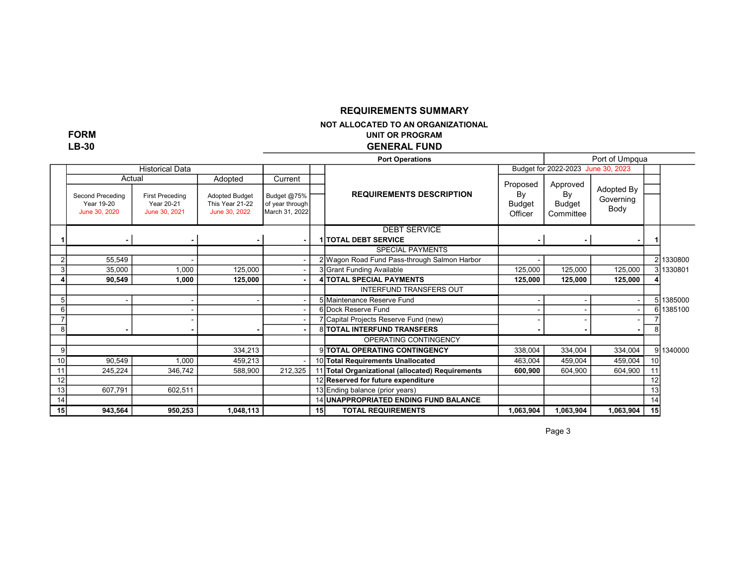### REQUIREMENTS SUMMARY

NOT ALLOCATED TO AN ORGANIZATIONAL

UNIT OR PROGRAM

FORM LB-30

GENERAL FUND

|    |                                |                                      |                                          |                                |                 | <b>Port Operations</b>                           |                |                                    | Port of Umpqua |    |           |
|----|--------------------------------|--------------------------------------|------------------------------------------|--------------------------------|-----------------|--------------------------------------------------|----------------|------------------------------------|----------------|----|-----------|
|    |                                | <b>Historical Data</b>               |                                          |                                |                 |                                                  |                | Budget for 2022-2023 June 30, 2023 |                |    |           |
|    | Actual                         |                                      | Adopted                                  | Current                        |                 |                                                  |                |                                    |                |    |           |
|    |                                |                                      |                                          |                                |                 | <b>REQUIREMENTS DESCRIPTION</b>                  | Proposed<br>By | Approved<br>By                     | Adopted By     |    |           |
|    | Second Preceding<br>Year 19-20 | <b>First Preceding</b><br>Year 20-21 | <b>Adopted Budget</b><br>This Year 21-22 | Budget @75%<br>of year through |                 |                                                  | <b>Budget</b>  | Budget                             | Governing      |    |           |
|    | June 30, 2020                  | June 30, 2021                        | June 30, 2022                            | March 31, 2022                 |                 |                                                  | Officer        | Committee                          | Body           |    |           |
|    |                                |                                      |                                          |                                |                 |                                                  |                |                                    |                |    |           |
|    |                                |                                      |                                          |                                |                 | <b>DEBT SERVICE</b>                              |                |                                    |                |    |           |
|    |                                |                                      |                                          | $\blacksquare$                 |                 | <b>ITOTAL DEBT SERVICE</b>                       |                |                                    |                |    |           |
|    |                                |                                      |                                          |                                |                 | <b>SPECIAL PAYMENTS</b>                          |                |                                    |                |    |           |
|    | 55,549                         |                                      |                                          |                                |                 | 2 Wagon Road Fund Pass-through Salmon Harbor     |                |                                    |                |    | 21330800  |
|    | 35,000                         | 1,000                                | 125,000                                  |                                |                 | 3 Grant Funding Available                        | 125,000        | 125,000                            | 125,000        |    | 31330801  |
|    | 90,549                         | 1.000                                | 125,000                                  |                                |                 | 4 TOTAL SPECIAL PAYMENTS                         | 125,000        | 125,000                            | 125,000        |    |           |
|    |                                |                                      |                                          |                                |                 | <b>INTERFUND TRANSFERS OUT</b>                   |                |                                    |                |    |           |
|    |                                |                                      |                                          |                                |                 | 5 Maintenance Reserve Fund                       |                |                                    |                |    | 5 1385000 |
|    |                                |                                      |                                          |                                |                 | 6 Dock Reserve Fund                              |                |                                    |                |    | 6 1385100 |
|    |                                |                                      |                                          |                                |                 | 7 Capital Projects Reserve Fund (new)            |                |                                    |                |    |           |
|    |                                |                                      |                                          |                                |                 | <b>8 TOTAL INTERFUND TRANSFERS</b>               |                |                                    |                |    |           |
|    |                                |                                      |                                          |                                |                 | OPERATING CONTINGENCY                            |                |                                    |                |    |           |
| 9  |                                |                                      | 334,213                                  |                                |                 | 9 TOTAL OPERATING CONTINGENCY                    | 338,004        | 334,004                            | 334,004        |    | 91340000  |
| 10 | 90,549                         | 1,000                                | 459,213                                  |                                |                 | 10 Total Requirements Unallocated                | 463,004        | 459,004                            | 459,004        | 10 |           |
| 11 | 245,224                        | 346,742                              | 588,900                                  | 212,325                        |                 | 11 Total Organizational (allocated) Requirements | 600,900        | 604,900                            | 604,900        |    |           |
| 12 |                                |                                      |                                          |                                |                 | 12 Reserved for future expenditure               |                |                                    |                | 12 |           |
| 13 | 607,791                        | 602,511                              |                                          |                                |                 | 13 Ending balance (prior years)                  |                |                                    |                | 13 |           |
| 14 |                                |                                      |                                          |                                |                 | <b>14 UNAPPROPRIATED ENDING FUND BALANCE</b>     |                |                                    |                | 14 |           |
| 15 | 943,564                        | 950,253                              | 1,048,113                                |                                | 15 <sup>1</sup> | <b>TOTAL REQUIREMENTS</b>                        | 1,063,904      | 1,063,904                          | 1,063,904      | 15 |           |

Page 3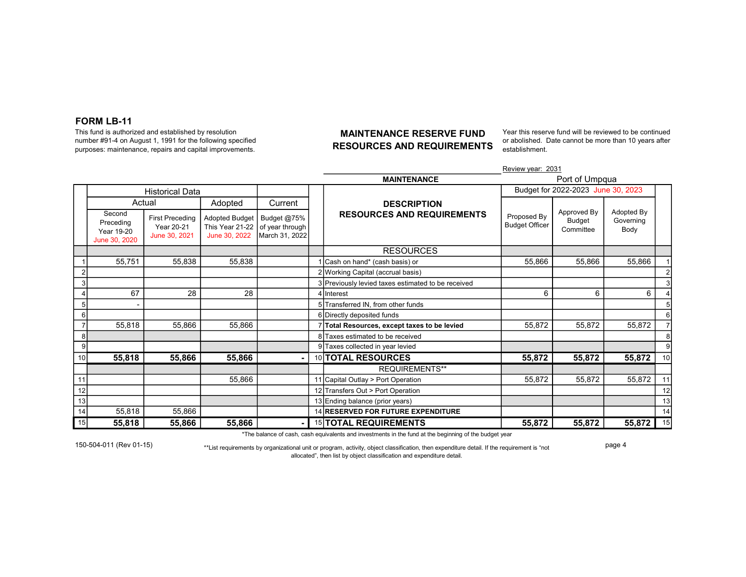#### FORM LB-11

This fund is authorized and established by resolution number #91-4 on August 1, 1991 for the following specified purposes: maintenance, repairs and capital improvements.

#### MAINTENANCE RESERVE FUND RESOURCES AND REQUIREMENTS

Year this reserve fund will be reviewed to be continued or abolished. Date cannot be more than 10 years after establishment.

|    |                                                    |                                                       |                                                           |                                                  |                                                    | Review year: 2031                    |                                    |                                 |                 |  |  |
|----|----------------------------------------------------|-------------------------------------------------------|-----------------------------------------------------------|--------------------------------------------------|----------------------------------------------------|--------------------------------------|------------------------------------|---------------------------------|-----------------|--|--|
|    |                                                    |                                                       |                                                           |                                                  | <b>MAINTENANCE</b>                                 | Port of Umpqua                       |                                    |                                 |                 |  |  |
|    |                                                    | <b>Historical Data</b>                                |                                                           |                                                  |                                                    | Budget for 2022-2023 June 30, 2023   |                                    |                                 |                 |  |  |
|    |                                                    | Actual                                                | Adopted                                                   | Current                                          | <b>DESCRIPTION</b>                                 |                                      |                                    |                                 |                 |  |  |
|    | Second<br>Preceding<br>Year 19-20<br>June 30, 2020 | <b>First Preceding</b><br>Year 20-21<br>June 30, 2021 | <b>Adopted Budget</b><br>This Year 21-22<br>June 30, 2022 | Budget @75%<br>of year through<br>March 31, 2022 | <b>RESOURCES AND REQUIREMENTS</b>                  | Proposed By<br><b>Budget Officer</b> | Approved By<br>Budget<br>Committee | Adopted By<br>Governing<br>Body |                 |  |  |
|    |                                                    |                                                       |                                                           |                                                  | <b>RESOURCES</b>                                   |                                      |                                    |                                 |                 |  |  |
|    | 55,751                                             | 55,838                                                | 55,838                                                    |                                                  | I Cash on hand* (cash basis) or                    | 55,866                               | 55,866                             | 55,866                          |                 |  |  |
|    |                                                    |                                                       |                                                           |                                                  | 2 Working Capital (accrual basis)                  |                                      |                                    |                                 |                 |  |  |
|    |                                                    |                                                       |                                                           |                                                  | 3 Previously levied taxes estimated to be received |                                      |                                    |                                 |                 |  |  |
|    | 67                                                 | 28                                                    | 28                                                        |                                                  | 4 Interest                                         | 6                                    | 6                                  | 6                               |                 |  |  |
|    |                                                    |                                                       |                                                           |                                                  | 5 Transferred IN. from other funds                 |                                      |                                    |                                 |                 |  |  |
|    |                                                    |                                                       |                                                           |                                                  | 6 Directly deposited funds                         |                                      |                                    |                                 | 6               |  |  |
|    | 55,818                                             | 55,866                                                | 55,866                                                    |                                                  | Total Resources, except taxes to be levied         | 55,872                               | 55,872                             | 55,872                          |                 |  |  |
|    |                                                    |                                                       |                                                           |                                                  | 8 Taxes estimated to be received                   |                                      |                                    |                                 | 8               |  |  |
| 9  |                                                    |                                                       |                                                           |                                                  | 9 Taxes collected in year levied                   |                                      |                                    |                                 | $\overline{9}$  |  |  |
| 10 | 55,818                                             | 55,866                                                | 55,866                                                    |                                                  | 10 <b>TOTAL RESOURCES</b>                          | 55,872                               | 55,872                             | 55,872                          | 10 <sup>1</sup> |  |  |
|    |                                                    |                                                       |                                                           |                                                  | <b>REQUIREMENTS**</b>                              |                                      |                                    |                                 |                 |  |  |
| 11 |                                                    |                                                       | 55,866                                                    |                                                  | 11 Capital Outlay > Port Operation                 | 55,872                               | 55,872                             | 55,872                          |                 |  |  |
| 12 |                                                    |                                                       |                                                           |                                                  | 12 Transfers Out > Port Operation                  |                                      |                                    |                                 | 12              |  |  |
| 13 |                                                    |                                                       |                                                           |                                                  | 13 Ending balance (prior years)                    |                                      |                                    |                                 | 13              |  |  |
| 14 | 55,818                                             | 55,866                                                |                                                           |                                                  | 14 RESERVED FOR FUTURE EXPENDITURE                 |                                      |                                    |                                 | 14              |  |  |
| 15 | 55,818                                             | 55,866                                                | 55,866                                                    | ٠                                                | 15 TOTAL REQUIREMENTS                              | 55,872                               | 55,872                             | 55,872                          | 15              |  |  |

\*The balance of cash, cash equivalents and investments in the fund at the beginning of the budget year

150-504-011 (Rev 01-15) \*\*List requirements by organizational unit or program, activity, object classification, then expenditure detail. If the requirement is "not allocated", then list by object classification and expenditure detail.

page 4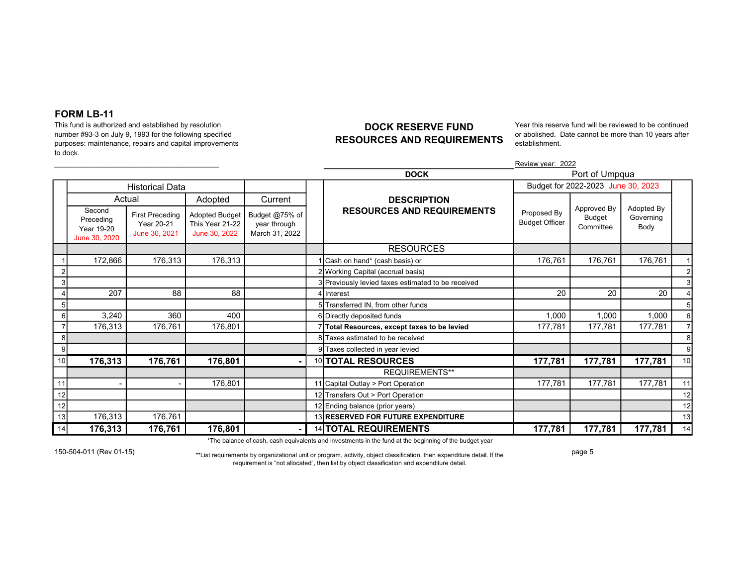#### FORM LB-11

This fund is authorized and established by resolution number #93-3 on July 9, 1993 for the following specified purposes: maintenance, repairs and capital improvements to dock.

### DOCK RESERVE FUND RESOURCES AND REQUIREMENTS

Year this reserve fund will be reviewed to be continued or abolished. Date cannot be more than 10 years after establishment.

|    |                                                    |                                                       |                                                           |                                                  |  | Review year: 2022                                  |                                      |                                    |                                 |    |  |  |  |
|----|----------------------------------------------------|-------------------------------------------------------|-----------------------------------------------------------|--------------------------------------------------|--|----------------------------------------------------|--------------------------------------|------------------------------------|---------------------------------|----|--|--|--|
|    |                                                    |                                                       |                                                           |                                                  |  | <b>DOCK</b>                                        | Port of Umpqua                       |                                    |                                 |    |  |  |  |
|    |                                                    | <b>Historical Data</b>                                |                                                           |                                                  |  |                                                    | Budget for 2022-2023 June 30, 2023   |                                    |                                 |    |  |  |  |
|    |                                                    | Actual                                                | Adopted                                                   | Current                                          |  | <b>DESCRIPTION</b>                                 |                                      |                                    |                                 |    |  |  |  |
|    | Second<br>Preceding<br>Year 19-20<br>June 30, 2020 | <b>First Preceding</b><br>Year 20-21<br>June 30, 2021 | <b>Adopted Budget</b><br>This Year 21-22<br>June 30, 2022 | Budget @75% of<br>year through<br>March 31, 2022 |  | <b>RESOURCES AND REQUIREMENTS</b>                  | Proposed By<br><b>Budget Officer</b> | Approved By<br>Budget<br>Committee | Adopted By<br>Governing<br>Body |    |  |  |  |
|    |                                                    |                                                       |                                                           |                                                  |  | <b>RESOURCES</b>                                   |                                      |                                    |                                 |    |  |  |  |
|    | 172,866                                            | 176,313                                               | 176,313                                                   |                                                  |  | Cash on hand* (cash basis) or                      | 176,761                              | 176,761                            | 176,761                         |    |  |  |  |
|    |                                                    |                                                       |                                                           |                                                  |  | 2 Working Capital (accrual basis)                  |                                      |                                    |                                 |    |  |  |  |
|    |                                                    |                                                       |                                                           |                                                  |  | 3 Previously levied taxes estimated to be received |                                      |                                    |                                 |    |  |  |  |
|    | 207                                                | 88                                                    | 88                                                        |                                                  |  | 4 Interest                                         | 20                                   | 20                                 | 20                              |    |  |  |  |
|    |                                                    |                                                       |                                                           |                                                  |  | 5 Transferred IN, from other funds                 |                                      |                                    |                                 |    |  |  |  |
|    | 3,240                                              | 360                                                   | 400                                                       |                                                  |  | 6 Directly deposited funds                         | 1,000                                | 1,000                              | 1,000                           | 6  |  |  |  |
|    | 176,313                                            | 176,761                                               | 176,801                                                   |                                                  |  | Total Resources, except taxes to be levied         | 177,781                              | 177,781                            | 177.781                         |    |  |  |  |
| 8  |                                                    |                                                       |                                                           |                                                  |  | Taxes estimated to be received                     |                                      |                                    |                                 |    |  |  |  |
|    |                                                    |                                                       |                                                           |                                                  |  | 9 Taxes collected in year levied                   |                                      |                                    |                                 | 9  |  |  |  |
| 10 | 176,313                                            | 176,761                                               | 176,801                                                   |                                                  |  | 10 TOTAL RESOURCES                                 | 177,781                              | 177,781                            | 177,781                         | 10 |  |  |  |
|    |                                                    |                                                       |                                                           |                                                  |  | <b>REQUIREMENTS**</b>                              |                                      |                                    |                                 |    |  |  |  |
| 11 |                                                    |                                                       | 176,801                                                   |                                                  |  | 11 Capital Outlay > Port Operation                 | 177,781                              | 177,781                            | 177,781                         | 11 |  |  |  |
| 12 |                                                    |                                                       |                                                           |                                                  |  | 12 Transfers Out > Port Operation                  |                                      |                                    |                                 | 12 |  |  |  |
| 12 |                                                    |                                                       |                                                           |                                                  |  | 12 Ending balance (prior years)                    |                                      |                                    |                                 | 12 |  |  |  |
| 13 | 176,313                                            | 176,761                                               |                                                           |                                                  |  | 13 RESERVED FOR FUTURE EXPENDITURE                 |                                      |                                    |                                 | 13 |  |  |  |
| 14 | 176,313                                            | 176,761                                               | 176,801                                                   |                                                  |  | 14 TOTAL REQUIREMENTS                              | 177,781                              | 177,781                            | 177,781                         | 14 |  |  |  |

\*The balance of cash, cash equivalents and investments in the fund at the beginning of the budget year

150-504-011 (Rev 01-15) \*\*List requirements by organizational unit or program, activity, object classification, then expenditure detail. If the requirement is "not allocated", then list by object classification and expenditure detail.

page 5